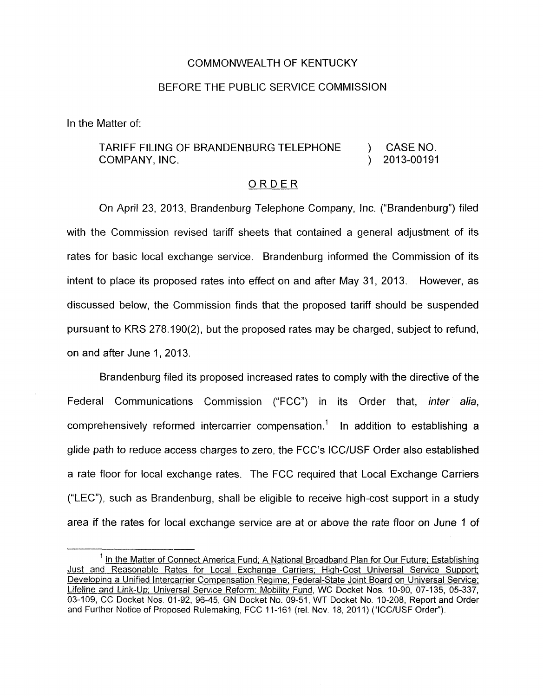## COMMONWEALTH OF KENTUCKY

## BEFORE THE PUBLIC SERVICE COMMISSION

In the Matter of:

## TARIFF FILING OF BRANDENBURG TELEPHONE ) CASENO. COMPANY, INC. (2013-00191)

## ORDER

On April 23, 2013, Brandenburg Telephone Company, Inc. ("Brandenburg") filed with the Commission revised tariff sheets that contained a general adjustment of its rates for basic local exchange service. Brandenburg informed the Commission of its intent to place its proposed rates into effect on and after May 31, 2013. However, as discussed below, the Commission finds that the proposed tariff should be suspended pursuant to KRS 278.190(2), but the proposed rates may be charged, subject to refund, on and after June 1, 2013.

Brandenburg filed its proposed increased rates to comply with the directive of the Federal Communications Commission ("FCC") in its Order that, *inter alia,*  comprehensively reformed intercarrier compensation.' In addition to establishing a glide path to reduce access charges to zero, the FCC's ICC/USF Order also established a rate floor for local exchange rates. The FCC required that Local Exchange Carriers ("LEC"), such as Brandenburg, shall be eligible to receive high-cost support in a study area if the rates for local exchange service are at or above the rate floor on June 1 of

In the Matter of Connect America Fund, A National Broadband Plan for Our Future, Establishing Just and Reasonable Rates for Local Exchange Carriers; High-Cost Universal Service Support; <sup>1</sup> In the Matter of Connect America Fund; A National Broadband Plan for Our Future; Establishing<br>
Just and Reasonable Rates for Local Exchange Carriers; High-Cost Universal Service Support;<br>
Developing a Unified Intercarr Lifeline and Link-Up; Universal Service Reform: Mobility Fund, WC Docket Nos. 10-90, 07-135, 05-337, 03-109, CC Docket Nos 01-92, 96-45, GN Docket No. 09-51, WT Docket No 10-208, Report and Order and Further Notice of Proposed Rulemaking, FCC 11-161 (rel. Nov. 18, 2011) ("ICC/USF Order"). *1*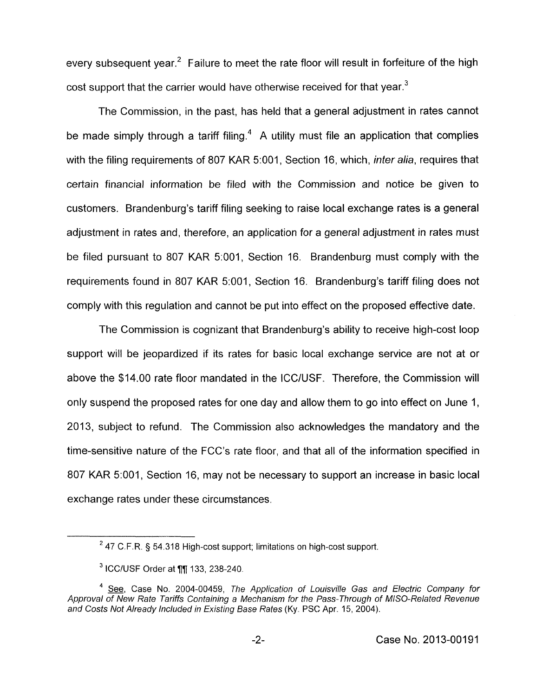every subsequent year.<sup>2</sup> Failure to meet the rate floor will result in forfeiture of the high cost support that the carrier would have otherwise received for that vear.<sup>3</sup>

The Commission, in the past, has held that a general adjustment in rates cannot be made simply through a tariff filing.<sup>4</sup> A utility must file an application that complies with the filing requirements of 807 KAR 5:001, Section 16, which, *inter alia*, requires that certain financial information be filed with the Commission and notice be given to customers. Brandenburg's tariff filing seeking to raise local exchange rates is a general adjustment in rates and, therefore, an application for a general adjustment in rates must be filed pursuant to 807 KAR 5:001, Section 16. Brandenburg must comply with the requirements found in 807 KAR 5:001, Section 16. Brandenburg's tariff filing does not comply with this regulation and cannot be put into effect on the proposed effective date.

The Commission is cognizant that Brandenburg's ability to receive high-cost loop support will be jeopardized if its rates for basic local exchange service are not at or above the \$14.00 rate floor mandated in the ICC/USF. Therefore, the Commission will only suspend the proposed rates for one day and allow them to go into effect on June 1, 2013, subject to refund. The Commission also acknowledges the mandatory and the time-sensitive nature of the FCC's rate floor, and that all of the information specified in 807 KAR 5:001, Section 16, may not be necessary to support an increase in basic local exchange rates under these circumstances.

<sup>47</sup> C.F.R. § 54.318 High-cost support; limitations on high-cost support. **<sup>2</sup>**

 $3$  ICC/USF Order at  $\P$ || 133, 238-240.

<sup>&</sup>lt;sup>4</sup> See, Case No. 2004-00459, The Application of Louisville Gas and Electric Company for Approval of New Rate Tariffs Containing a Mechanism for the Pass-Through of MISO-Related Revenue *and Costs Not Already lncluded in Existing Base Rates* (Ky. PSC Apr. 15, 2004).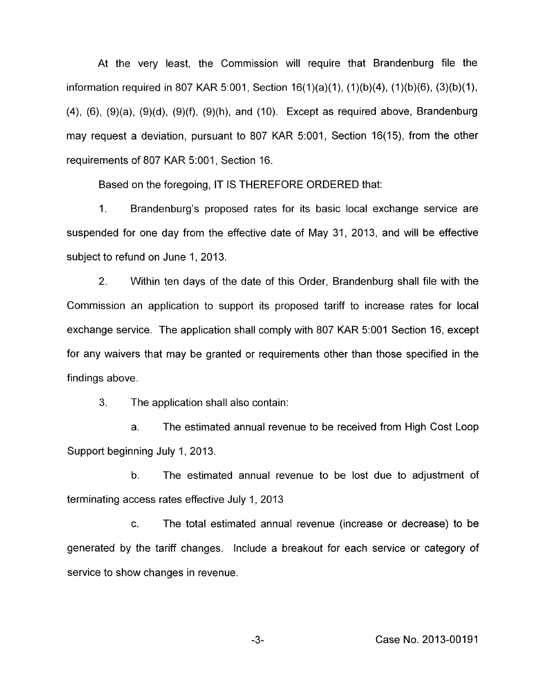At the very least, the Commission will require that Brandenburg file the information required in 807 KAR 5:001, Section 16(1)(a)(1), (1)(b)(4), (1)(b)(6), (3)(b)(1), (4), (6), (9)(a), (9)(d), (9)(f), (9)(h), and (IO). Except as required above, Brandenburg may request a deviation, pursuant to 807 KAR 5:001, Section 16(15), from the other requirements of 807 KAR 5:001, Section 16.

Based on the foregoing, IT IS THEREFORE ORDERED that:

1. Brandenburg's proposed rates for its basic local exchange service are suspended for one day from the effective date of May 31, 2013, and will be effective subject to refund on June 1, 2013.

2. Within ten days of the date of this Order, Brandenburg shall file with the Commission an application to support its proposed tariff to increase rates for local exchange service. The application shall comply with 807 KAR 5:OOl Section 16, except for any waivers that may be granted or requirements other than those specified in the findings above.

3. The application shall also contain:

a. The estimated annual revenue to be received from High Cost Loop Support beginning July 1, 2013.

b. The estimated annual revenue to be lost due to adjustment of terminating access rates effective July 1, 2013

c. The total estimated annual revenue (increase or decrease) to be generated by the tariff changes. Include a breakout for each service or category of service to show changes in revenue.

-3- Case No. 2013-00191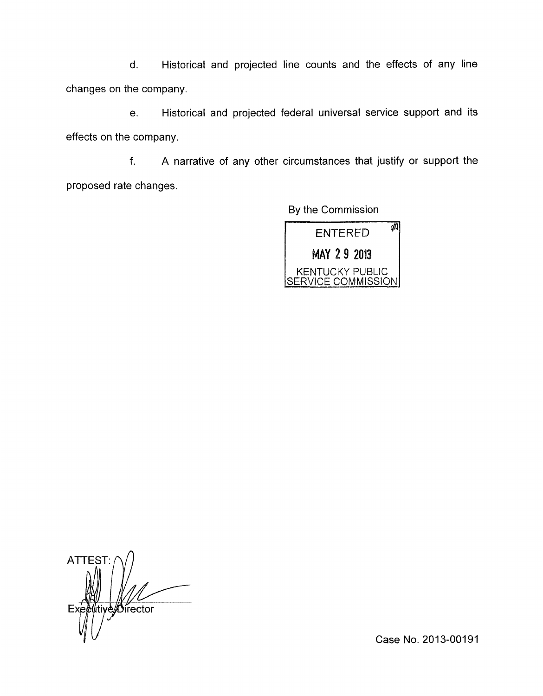d. Historical and projected line counts and the effects of any line changes on the company.

e. Historical and projected federal universal service support and its effects on the company.

f. A narrative of any other circumstances that justify or support the proposed rate changes.

By the Commission



**ATTEST** tiye*/*/Oirector Exe

Case No. 2013-00191